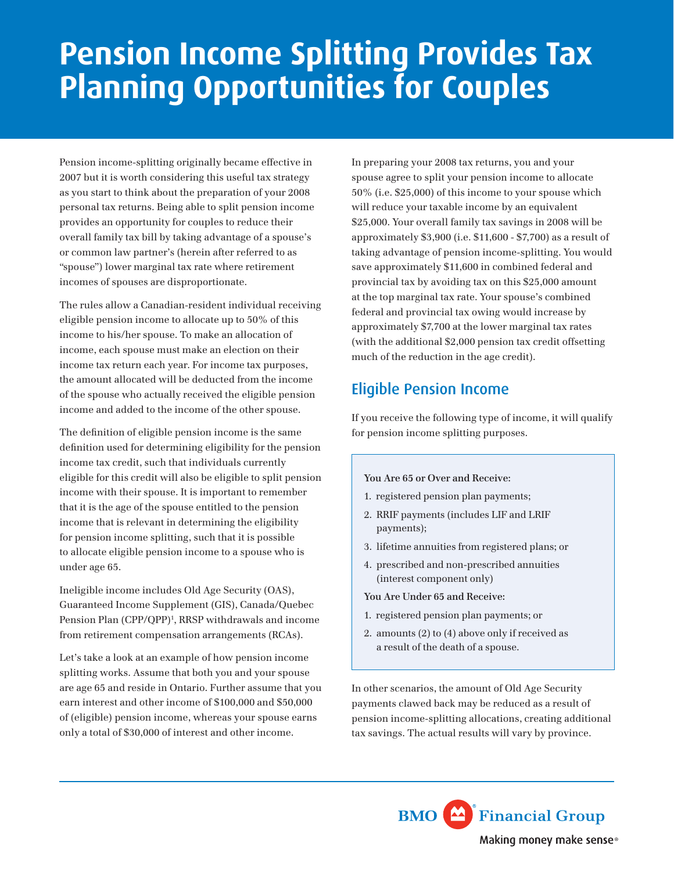# **Pension Income Splitting Provides Tax Planning Opportunities for Couples**

Pension income-splitting originally became effective in 2007 but it is worth considering this useful tax strategy as you start to think about the preparation of your 2008 personal tax returns. Being able to split pension income provides an opportunity for couples to reduce their overall family tax bill by taking advantage of a spouse's or common law partner's (herein after referred to as "spouse") lower marginal tax rate where retirement incomes of spouses are disproportionate.

The rules allow a Canadian-resident individual receiving eligible pension income to allocate up to 50% of this income to his/her spouse. To make an allocation of income, each spouse must make an election on their income tax return each year. For income tax purposes, the amount allocated will be deducted from the income of the spouse who actually received the eligible pension income and added to the income of the other spouse.

The definition of eligible pension income is the same definition used for determining eligibility for the pension income tax credit, such that individuals currently eligible for this credit will also be eligible to split pension income with their spouse. It is important to remember that it is the age of the spouse entitled to the pension income that is relevant in determining the eligibility for pension income splitting, such that it is possible to allocate eligible pension income to a spouse who is under age 65.

Ineligible income includes Old Age Security (OAS), Guaranteed Income Supplement (GIS), Canada/Quebec Pension Plan (CPP/QPP)<sup>1</sup>, RRSP withdrawals and income from retirement compensation arrangements (RCAs).

Let's take a look at an example of how pension income splitting works. Assume that both you and your spouse are age 65 and reside in Ontario. Further assume that you earn interest and other income of \$100,000 and \$50,000 of (eligible) pension income, whereas your spouse earns only a total of \$30,000 of interest and other income.

In preparing your 2008 tax returns, you and your spouse agree to split your pension income to allocate 50% (i.e. \$25,000) of this income to your spouse which will reduce your taxable income by an equivalent \$25,000. Your overall family tax savings in 2008 will be approximately \$3,900 (i.e. \$11,600 - \$7,700) as a result of taking advantage of pension income-splitting. You would save approximately \$11,600 in combined federal and provincial tax by avoiding tax on this \$25,000 amount at the top marginal tax rate. Your spouse's combined federal and provincial tax owing would increase by approximately \$7,700 at the lower marginal tax rates (with the additional \$2,000 pension tax credit offsetting much of the reduction in the age credit).

## Eligible Pension Income

If you receive the following type of income, it will qualify for pension income splitting purposes.

#### **You Are 65 or Over and Receive:**

- 1. registered pension plan payments;
- 2. RRIF payments (includes LIF and LRIF payments);
- 3. lifetime annuities from registered plans; or
- 4. prescribed and non-prescribed annuities (interest component only)

**You Are Under 65 and Receive:**

- 1. registered pension plan payments; or
- 2. amounts (2) to (4) above only if received as a result of the death of a spouse.

In other scenarios, the amount of Old Age Security payments clawed back may be reduced as a result of pension income-splitting allocations, creating additional tax savings. The actual results will vary by province.

> **BMO** Financial Group Making money make sense<sup>®</sup>